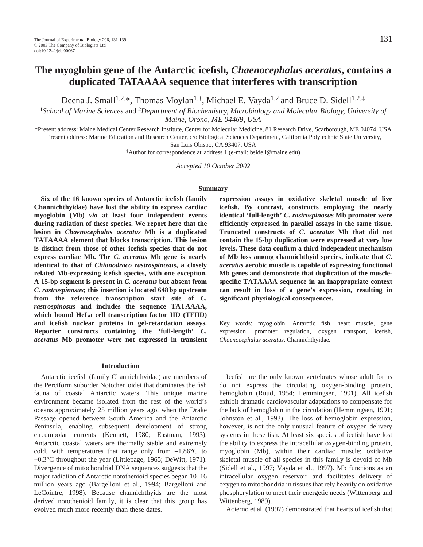# **The myoglobin gene of the Antarctic icefish,** *Chaenocephalus aceratus***, contains a duplicated TATAAAA sequence that interferes with transcription**

Deena J. Small<sup>1,2,\*</sup>, Thomas Moylan<sup>1,†</sup>, Michael E. Vayda<sup>1,2</sup> and Bruce D. Sidell<sup>1,2,‡</sup>

<sup>1</sup>*School of Marine Sciences* and <sup>2</sup>*Department of Biochemistry, Microbiology and Molecular Biology, University of Maine, Orono, ME 04469, USA*

\*Present address: Maine Medical Center Research Institute, Center for Molecular Medicine, 81 Research Drive, Scarborough, ME 04074, USA †Present address: Marine Education and Research Center, c/o Biological Sciences Department, California Polytechnic State University,

San Luis Obispo, CA 93407, USA

‡Author for correspondence at address 1 (e-mail: bsidell@maine.edu)

*Accepted 10 October 2002*

## **Summary**

**Six of the 16 known species of Antarctic icefish (family Channichthyidae) have lost the ability to express cardiac myoglobin (Mb)** *via* **at least four independent events during radiation of these species. We report here that the lesion in** *Chaenocephalus aceratus* **Mb is a duplicated TATAAAA element that blocks transcription. This lesion is distinct from those of other icefish species that do not express cardiac Mb. The** *C. aceratus* **Mb gene is nearly identical to that of** *Chionodraco rastrospinosus***, a closely related Mb-expressing icefish species, with one exception. A 15-bp segment is present in** *C. aceratus* **but absent from** *C. rastrospinosus***; this insertion is located 648 bp upstream from the reference transcription start site of** *C. rastrospinosus* **and includes the sequence TATAAAA, which bound HeLa cell transcription factor IID (TFIID) and icefish nuclear proteins in gel-retardation assays. Reporter constructs containing the 'full-length'** *C. aceratus* **Mb promoter were not expressed in transient**

### **Introduction**

Antarctic icefish (family Channichthyidae) are members of the Perciform suborder Notothenioidei that dominates the fish fauna of coastal Antarctic waters. This unique marine environment became isolated from the rest of the world's oceans approximately 25 million years ago, when the Drake Passage opened between South America and the Antarctic Peninsula, enabling subsequent development of strong circumpolar currents (Kennett, 1980; Eastman, 1993). Antarctic coastal waters are thermally stable and extremely cold, with temperatures that range only from  $-1.86^{\circ}$ C to +0.3°C throughout the year (Littlepage, 1965; DeWitt, 1971). Divergence of mitochondrial DNA sequences suggests that the major radiation of Antarctic notothenioid species began 10–16 million years ago (Bargelloni et al., 1994; Bargelloni and LeCointre, 1998). Because channichthyids are the most derived notothenioid family, it is clear that this group has evolved much more recently than these dates.

**expression assays in oxidative skeletal muscle of live icefish. By contrast, constructs employing the nearly identical 'full-length'** *C. rastrospinosus* **Mb promoter were efficiently expressed in parallel assays in the same tissue. Truncated constructs of** *C. aceratus* **Mb that did not contain the 15-bp duplication were expressed at very low levels. These data confirm a third independent mechanism of Mb loss among channichthyid species, indicate that** *C. aceratus* **aerobic muscle is capable of expressing functional Mb genes and demonstrate that duplication of the musclespecific TATAAAA sequence in an inappropriate context can result in loss of a gene's expression, resulting in significant physiological consequences.** 

Key words: myoglobin, Antarctic fish, heart muscle, gene expression, promoter regulation, oxygen transport, icefish, *Chaenocephalus aceratus*, Channichthyidae*.*

Icefish are the only known vertebrates whose adult forms do not express the circulating oxygen-binding protein, hemoglobin (Ruud, 1954; Hemmingsen, 1991). All icefish exhibit dramatic cardiovascular adaptations to compensate for the lack of hemoglobin in the circulation (Hemmingsen, 1991; Johnston et al., 1993). The loss of hemoglobin expression, however, is not the only unusual feature of oxygen delivery systems in these fish. At least six species of icefish have lost the ability to express the intracellular oxygen-binding protein, myoglobin (Mb), within their cardiac muscle; oxidative skeletal muscle of all species in this family is devoid of Mb (Sidell et al., 1997; Vayda et al., 1997). Mb functions as an intracellular oxygen reservoir and facilitates delivery of oxygen to mitochondria in tissues that rely heavily on oxidative phosphorylation to meet their energetic needs (Wittenberg and Wittenberg, 1989).

Acierno et al. (1997) demonstrated that hearts of icefish that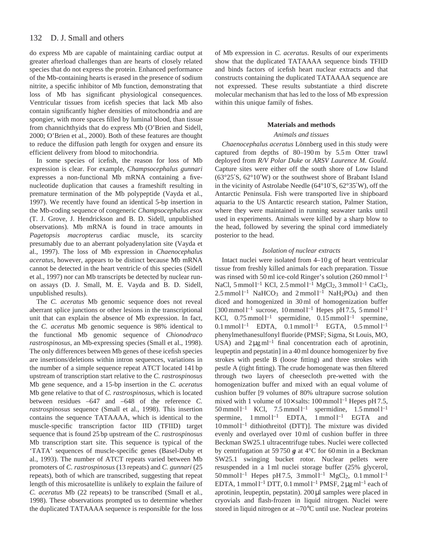do express Mb are capable of maintaining cardiac output at greater afterload challenges than are hearts of closely related species that do not express the protein. Enhanced performance of the Mb-containing hearts is erased in the presence of sodium nitrite, a specific inhibitor of Mb function, demonstrating that loss of Mb has significant physiological consequences. Ventricular tissues from icefish species that lack Mb also contain significantly higher densities of mitochondria and are spongier, with more spaces filled by luminal blood, than tissue from channichthyids that do express Mb (O'Brien and Sidell, 2000; O'Brien et al., 2000). Both of these features are thought to reduce the diffusion path length for oxygen and ensure its efficient delivery from blood to mitochondria.

In some species of icefish, the reason for loss of Mb expression is clear. For example, *Champsocephalus gunnari* expresses a non-functional Mb mRNA containing a fivenucleotide duplication that causes a frameshift resulting in premature termination of the Mb polypeptide (Vayda et al., 1997). We recently have found an identical 5-bp insertion in the Mb-coding sequence of congeneric *Champsocephalus esox* (T. J. Grove, J. Hendrickson and B. D. Sidell, unpublished observations). Mb mRNA is found in trace amounts in *Pagetopsis macropterus* cardiac muscle, its scarcity presumably due to an aberrant polyadenylation site (Vayda et al., 1997). The loss of Mb expression in *Chaenocephalus aceratus*, however, appears to be distinct because Mb mRNA cannot be detected in the heart ventricle of this species (Sidell et al., 1997) nor can Mb transcripts be detected by nuclear runon assays (D. J. Small, M. E. Vayda and B. D. Sidell, unpublished results).

The *C. aceratus* Mb genomic sequence does not reveal aberrant splice junctions or other lesions in the transcriptional unit that can explain the absence of Mb expression. In fact, the *C. aceratus* Mb genomic sequence is 98% identical to the functional Mb genomic sequence of *Chionodraco rastrospinosus*, an Mb-expressing species (Small et al., 1998). The only differences between Mb genes of these icefish species are insertions/deletions within intron sequences, variations in the number of a simple sequence repeat ATCT located 141 bp upstream of transcription start relative to the *C. rastrospinosus* Mb gene sequence, and a 15-bp insertion in the *C. aceratus* Mb gene relative to that of *C. rastrospinosus*, which is located between residues –647 and –648 of the reference *C. rastrospinosus* sequence (Small et al., 1998). This insertion contains the sequence TATAAAA, which is identical to the muscle-specific transcription factor IID (TFIID) target sequence that is found 25 bp upstream of the *C. rastrospinosus* Mb transcription start site. This sequence is typical of the 'TATA' sequences of muscle-specific genes (Basel-Duby et al., 1993). The number of ATCT repeats varied between Mb promoters of *C. rastrospinosus* (13 repeats) and *C. gunnari* (25 repeats), both of which are transcribed, suggesting that repeat length of this microsatellite is unlikely to explain the failure of *C. aceratus* Mb (22 repeats) to be transcribed (Small et al., 1998). These observations prompted us to determine whether the duplicated TATAAAA sequence is responsible for the loss

of Mb expression in *C. aceratus*. Results of our experiments show that the duplicated TATAAAA sequence binds TFIID and binds factors of icefish heart nuclear extracts and that constructs containing the duplicated TATAAAA sequence are not expressed. These results substantiate a third discrete molecular mechanism that has led to the loss of Mb expression within this unique family of fishes.

## **Materials and methods**

## *Animals and tissues*

*Chaenocephalus aceratus* Lönnberg used in this study were captured from depths of 80–190 m by 5.5 m Otter trawl deployed from *R/V Polar Duke* or *ARSV Laurence M. Gould*. Capture sites were either off the south shore of Low Island (63°25′S, 62°10′W) or the southwest shore of Brabant Island in the vicinity of Astrolabe Needle (64°10′S, 62°35′W), off the Antarctic Peninsula. Fish were transported live in shipboard aquaria to the US Antarctic research station, Palmer Station, where they were maintained in running seawater tanks until used in experiments. Animals were killed by a sharp blow to the head, followed by severing the spinal cord immediately posterior to the head.

## *Isolation of nuclear extracts*

Intact nuclei were isolated from 4–10 g of heart ventricular tissue from freshly killed animals for each preparation. Tissue was rinsed with 50 ml ice-cold Ringer's solution (260 mmol  $l^{-1}$ NaCl, 5 mmol  $l^{-1}$  KCl, 2.5 mmol  $l^{-1}$  MgCl<sub>2</sub>, 3 mmol  $l^{-1}$  CaCl<sub>2</sub>,  $2.5 \text{ mmol } l^{-1}$  NaHCO<sub>3</sub> and  $2 \text{ mmol } l^{-1}$  NaH<sub>2</sub>PO<sub>4</sub>) and then diced and homogenized in 30 ml of homogenization buffer  $[300 \text{ mmol } l^{-1}$  sucrose,  $10 \text{ mmol } l^{-1}$  Hepes pH 7.5, 5 mmol  $l^{-1}$ KCl,  $0.75 \text{ mmol } 1^{-1}$  spermidine,  $0.15 \text{ mmol } 1^{-1}$  spermine,  $0.1$  mmol  $l^{-1}$  EDTA,  $0.1$  mmol  $l^{-1}$  EGTA,  $0.5$  mmol  $l^{-1}$ phenylmethanesulfonyl fluoride (PMSF; Sigma, St Louis, MO, USA) and  $2\mu g$  ml<sup>-1</sup> final concentration each of aprotinin, leupeptin and pepstatin] in a 40 ml dounce homogenizer by five strokes with pestle B (loose fitting) and three strokes with pestle A (tight fitting). The crude homogenate was then filtered through two layers of cheesecloth pre-wetted with the homogenization buffer and mixed with an equal volume of cushion buffer [9 volumes of 80% ultrapure sucrose solution mixed with 1 volume of  $10\times$  salts:  $100$  mmol  $l^{-1}$  Hepes pH 7.5,  $50 \text{ mmol } 1^{-1}$  KCl,  $7.5 \text{ mmol } 1^{-1}$  spermidine,  $1.5 \text{ mmol } 1^{-1}$ spermine,  $1 \text{ mmol } l^{-1}$  EDTA,  $1 \text{ mmol } l^{-1}$  EGTA and  $10$  mmol  $l^{-1}$  dithiothreitol (DTT)]. The mixture was divided evenly and overlayed over 10 ml of cushion buffer in three Beckman SW25.1 ultracentrifuge tubes. Nuclei were collected by centrifugation at 59 750 *g* at 4°C for 60 min in a Beckman SW25.1 swinging bucket rotor. Nuclear pellets were resuspended in a 1 ml nuclei storage buffer (25% glycerol, 50 mmol  $l^{-1}$  Hepes pH 7.5, 3 mmol  $l^{-1}$  MgCl<sub>2</sub>, 0.1 mmol  $l^{-1}$ EDTA, 1 mmol  $l^{-1}$  DTT, 0.1 mmol  $l^{-1}$  PMSF, 2  $\mu$ g m $l^{-1}$  each of aprotinin, leupeptin, pepstatin). 200 µl samples were placed in cryovials and flash-frozen in liquid nitrogen. Nuclei were stored in liquid nitrogen or at –70°C until use. Nuclear proteins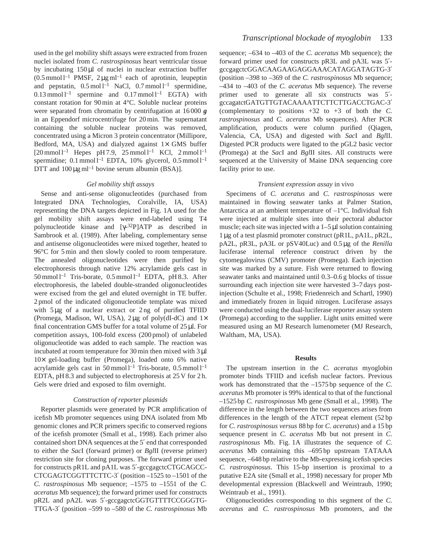used in the gel mobility shift assays were extracted from frozen nuclei isolated from *C. rastrospinosus* heart ventricular tissue by incubating  $150 \mu l$  of nuclei in nuclear extraction buffer  $(0.5 \text{ mmol }1^{-1} \text{ PMSF}, 2 \mu \text{g }ml^{-1} \text{ each of aportion, leupeptin}$ and pepstatin,  $0.5 \text{ mol} \, \text{l}^{-1}$  NaCl,  $0.7 \text{ mmol} \, \text{l}^{-1}$  spermidine,  $0.13$  mmol l<sup>-1</sup> spermine and  $0.17$  mmol l<sup>-1</sup> EGTA) with constant rotation for 90 min at 4°C. Soluble nuclear proteins were separated from chromatin by centrifugation at 16 000 *g* in an Eppendorf microcentrifuge for 20 min. The supernatant containing the soluble nuclear proteins was removed, concentrated using a Micron 3 protein concentrator (Millipore, Bedford, MA, USA) and dialyzed against  $1\times$  GMS buffer  $[20 \text{ mmol }1^{-1}$  Hepes pH 7.9, 25 mmol  $1^{-1}$  KCl, 2 mmol  $1^{-1}$ spermidine; 0.1 mmol l<sup>-1</sup> EDTA, 10% glycerol, 0.5 mmol l<sup>-1</sup> DTT and  $100 \mu g$  ml<sup>-1</sup> bovine serum albumin (BSA)].

## *Gel mobility shift assays*

Sense and anti-sense oligonucleotides (purchased from Integrated DNA Technologies, Coralville, IA, USA) representing the DNA targets depicted in Fig. 1A used for the gel mobility shift assays were end-labeled using T4 polynucleotide kinase and [γ-32P]ATP as described in Sambrook et al. (1989). After labeling, complementary sense and antisense oligonucleotides were mixed together, heated to 96°C for 5 min and then slowly cooled to room temperature. The annealed oligonucleotides were then purified by electrophoresis through native 12% acrylamide gels cast in 50 mmol  $1^{-1}$  Tris-borate, 0.5 mmol  $1^{-1}$  EDTA, pH 8.3. After electrophoresis, the labeled double-stranded oligonucleotides were excised from the gel and eluted overnight in TE buffer. 2 pmol of the indicated oligonucleotide template was mixed with  $5 \mu$ g of a nuclear extract or  $2 \text{ ng }$  of purified TFIID (Promega, Madison, WI, USA),  $2 \mu g$  of poly(dI-dC) and  $1 \times$ final concentration GMS buffer for a total volume of 25 µl. For competition assays, 100-fold excess (200 pmol) of unlabeled oligonucleotide was added to each sample. The reaction was incubated at room temperature for 30 min then mixed with 3 µl 10× gel-loading buffer (Promega), loaded onto 6% native acrylamide gels cast in 50 mmol  $l^{-1}$  Tris-borate, 0.5 mmol  $l^{-1}$ EDTA, pH 8.3 and subjected to electrophoresis at 25 V for 2 h. Gels were dried and exposed to film overnight.

## *Construction of reporter plasmids*

Reporter plasmids were generated by PCR amplification of icefish Mb promoter sequences using DNA isolated from Mb genomic clones and PCR primers specific to conserved regions of the icefish promoter (Small et al., 1998). Each primer also contained short DNA sequences at the 5′ end that corresponded to either the *Sac*I (forward primer) or *Bgl*II (reverse primer) restriction site for cloning purposes. The forward primer used for constructs pR1L and pA1L was 5′-gccgagctcCTGCAGCC-CTCGAGTCGGTTTCTTC-3′ (position –1525 to –1501 of the *C. rastrospinosus* Mb sequence; –1575 to –1551 of the *C. aceratus* Mb sequence); the forward primer used for constructs pR2L and pA2L was 5′-gccgagctcGGTGTTTTCCGGGTG-TTGA-3′ (position –599 to –580 of the *C. rastrospinosus* Mb

## *Transcriptional blockade of myoglobin* 133

sequence; –634 to –403 of the *C. aceratus* Mb sequence); the forward primer used for constructs pR3L and pA3L was 5′ gccgagctcGGACAAGAAGAGGAAACATAGGATAGTG-3′ (position –398 to –369 of the *C. rastrospinosus* Mb sequence; –434 to –403 of the *C. aceratus* Mb sequence). The reverse primer used to generate all six constructs was 5′ gccagatctGATGTTGTACAAAATTCTTCTTGACCTGAC-3′ (complementary to positions +32 to +3 of both the *C. rastrospinosus* and *C. aceratus* Mb sequences). After PCR amplification, products were column purified (Qiagen, Valencia, CA, USA) and digested with *Sac*I and *Bgl*II. Digested PCR products were ligated to the pGL2 basic vector (Promega) at the *Sac*I and *Bgl*II sites. All constructs were sequenced at the University of Maine DNA sequencing core facility prior to use.

## *Transient expression assay* in vivo

Specimens of *C. aceratus* and *C. rastrospinosus* were maintained in flowing seawater tanks at Palmer Station, Antarctica at an ambient temperature of  $-1^{\circ}$ C. Individual fish were injected at multiple sites into their pectoral abductor muscle; each site was injected with a  $1-5 \mu$ l solution containing 1 µg of a test plasmid promoter construct (pR1L, pA1L, pR2L, pA2L, pR3L, pA3L or pSV40Luc) and 0.5 µg of the *Renilla* luciferase internal reference construct driven by the cytomegalovirus (CMV) promoter (Promega). Each injection site was marked by a suture. Fish were returned to flowing seawater tanks and maintained until 0.3–0.6 g blocks of tissue surrounding each injection site were harvested 3–7 days postinjection (Schulte et al., 1998; Friedenreich and Schartl, 1990) and immediately frozen in liquid nitrogen. Luciferase assays were conducted using the dual-luciferase reporter assay system (Promega) according to the supplier. Light units emitted were measured using an MJ Research lumenometer (MJ Research, Waltham, MA, USA).

## **Results**

The upstream insertion in the *C. aceratus* myoglobin promoter binds TFIID and icefish nuclear factors. Previous work has demonstrated that the –1575 bp sequence of the *C. aceratus* Mb promoter is 99% identical to that of the functional –1525 bp *C. rastrospinosus* Mb gene (Small et al., 1998). The difference in the length between the two sequences arises from differences in the length of the ATCT repeat element (52 bp for *C. rastrospinosus versus* 88 bp for *C*. *aceratus*) and a 15 bp sequence present in *C. aceratus* Mb but not present in *C. rastrospinosus* Mb. Fig. 1A illustrates the sequence of *C. aceratus* Mb containing this –695 bp upstream TATAAA sequence, –648 bp relative to the Mb-expressing icefish species *C. rastrospinosus*. This 15-bp insertion is proximal to a putative E2A site (Small et al., 1998) necessary for proper Mb developmental expression (Blackwell and Weintraub, 1990; Weintraub et al., 1991).

Oligonucleotides corresponding to this segment of the *C. aceratus* and *C. rastrospinosus* Mb promoters, and the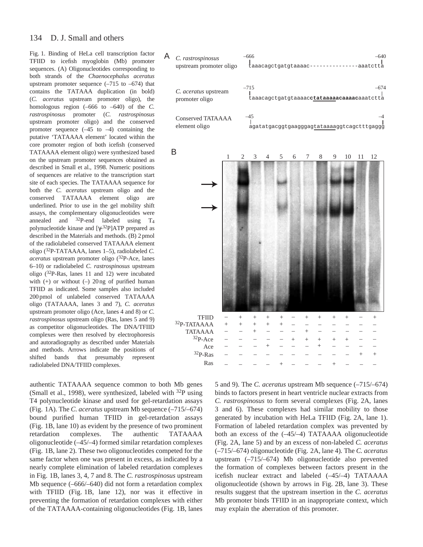Fig. 1. Binding of HeLa cell transcription factor TFIID to icefish myoglobin (Mb) promoter sequences. (A) Oligonucleotides corresponding to both strands of the *Chaenocephalus aceratus* upstream promoter sequence  $(-715$  to  $-674)$  that contains the TATAAA duplication (in bold) (*C. aceratus* upstream promoter oligo), the homologous region (–666 to –640) of the *C. rastrospinosus* promoter (*C. rastrospinosus* upstream promoter oligo) and the conserved promoter sequence  $(-45 \text{ to } -4)$  containing the putative 'TATAAAA element' located within the core promoter region of both icefish (conserved TATAAAA element oligo) were synthesized based on the upstream promoter sequences obtained as described in Small et al., 1998. Numeric positions of sequences are relative to the transcription start site of each species. The TATAAAA sequence for both the *C. aceratus* upstream oligo and the conserved TATAAAA element oligo are underlined. Prior to use in the gel mobility shift assays, the complementary oligonucleotides were annealed and 32P-end labeled using T4 polynucleotide kinase and [γ-32P]ATP prepared as described in the Materials and methods. (B) 2 pmol of the radiolabeled conserved TATAAAA element oligo (32P-TATAAAA, lanes 1–5), radiolabeled *C. aceratus* upstream promoter oligo (32P-Ace, lanes 6–10) or radiolabeled *C. rastrospinosus* upstream oligo (32P-Ras, lanes 11 and 12) were incubated with  $(+)$  or without  $(-)$  20 ng of purified human TFIID as indicated. Some samples also included 200 pmol of unlabeled conserved TATAAAA oligo (TATAAAA, lanes 3 and 7), *C. aceratus* upstream promoter oligo (Ace, lanes 4 and 8) or *C. rastrospinosus* upstream oligo (Ras, lanes 5 and 9) as competitor oligonucleotides. The DNA/TFIID complexes were then resolved by electrophoresis and autoradiography as described under Materials and methods. Arrows indicate the positions of shifted bands that presumably represent radiolabeled DNA/TFIID complexes.

authentic TATAAAA sequence common to both Mb genes (Small et al., 1998), were synthesized, labeled with  $32P$  using T4 polynucleotide kinase and used for gel-retardation assays (Fig. 1A). The *C. aceratus* upstream Mb sequence (–715/–674) bound purified human TFIID in gel-retardation assays (Fig. 1B, lane 10) as evident by the presence of two prominent retardation complexes. The authentic TATAAAA oligonucleotide (–45/–4) formed similar retardation complexes (Fig. 1B, lane 2). These two oligonucleotides competed for the same factor when one was present in excess, as indicated by a nearly complete elimination of labeled retardation complexes in Fig. 1B, lanes 3, 4, 7 and 8. The *C. rastrospinosus* upstream Mb sequence (–666/–640) did not form a retardation complex with TFIID (Fig. 1B, lane 12), nor was it effective in preventing the formation of retardation complexes with either of the TATAAAA-containing oligonucleotides (Fig. 1B, lanes



5 and 9). The *C. aceratus* upstream Mb sequence (–715/–674) binds to factors present in heart ventricle nuclear extracts from *C. rastrospinosus* to form several complexes (Fig. 2A, lanes 3 and 6). These complexes had similar mobility to those generated by incubation with HeLa TFIID (Fig. 2A, lane 1). Formation of labeled retardation complex was prevented by both an excess of the (–45/–4) TATAAAA oligonucleotide (Fig. 2A, lane 5) and by an excess of non-labeled *C. aceratus* (–715/–674) oligonucleotide (Fig. 2A, lane 4)*.* The *C. aceratus* upstream (–715/–674) Mb oligonucleotide also prevented the formation of complexes between factors present in the icefish nuclear extract and labeled (–45/–4) TATAAAA oligonucleotide (shown by arrows in Fig. 2B, lane 3). These results suggest that the upstream insertion in the *C. aceratus* Mb promoter binds TFIID in an inappropriate context, which may explain the aberration of this promoter.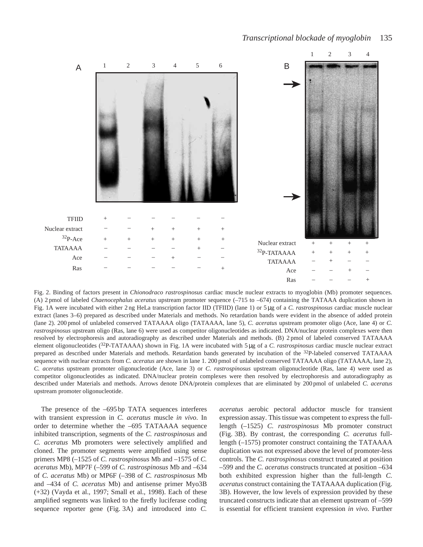

Fig. 2. Binding of factors present in *Chionodraco rastrospinosus* cardiac muscle nuclear extracts to myoglobin (Mb) promoter sequences. (A) 2 pmol of labeled *Chaenocephalus aceratus* upstream promoter sequence (–715 to –674) containing the TATAAA duplication shown in Fig. 1A were incubated with either 2 ng HeLa transcription factor IID (TFIID) (lane 1) or 5 µg of a *C. rastrospinosus* cardiac muscle nuclear extract (lanes 3–6) prepared as described under Materials and methods. No retardation bands were evident in the absence of added protein (lane 2). 200 pmol of unlabeled conserved TATAAAA oligo (TATAAAA, lane 5), *C. aceratus* upstream promoter oligo (Ace, lane 4) or *C. rastrospinosus* upstream oligo (Ras, lane 6) were used as competitor oligonucleotides as indicated. DNA/nuclear protein complexes were then resolved by electrophoresis and autoradiography as described under Materials and methods. (B) 2 pmol of labeled conserved TATAAAA element oligonucleotides (32P-TATAAAA) shown in Fig. 1A were incubated with 5 µg of a *C. rastrospinosus* cardiac muscle nuclear extract prepared as described under Materials and methods. Retardation bands generated by incubation of the 32P-labeled conserved TATAAAA sequence with nuclear extracts from *C. aceratus* are shown in lane 1. 200 pmol of unlabeled conserved TATAAAA oligo (TATAAAA, lane 2), *C. aceratus* upstream promoter oligonucleotide (Ace, lane 3) or *C. rastrospinosus* upstream oligonucleotide (Ras, lane 4) were used as competitor oligonucleotides as indicated. DNA/nuclear protein complexes were then resolved by electrophoresis and autoradiography as described under Materials and methods. Arrows denote DNA/protein complexes that are eliminated by 200 pmol of unlabeled *C. aceratus* upstream promoter oligonucleotide.

The presence of the –695 bp TATA sequences interferes with transient expression in *C. aceratus* muscle *in vivo*. In order to determine whether the –695 TATAAAA sequence inhibited transcription, segments of the *C. rastrospinosus* and *C. aceratus* Mb promoters were selectively amplified and cloned. The promoter segments were amplified using sense primers MP8 (–1525 of *C. rastrospinosus* Mb and –1575 of *C. aceratus* Mb), MP7F (–599 of *C. rastrospinosus* Mb and –634 of *C. aceratus* Mb) or MP6F (–398 of *C. rastrospinosus* Mb and –434 of *C. aceratus* Mb) and antisense primer Myo3B (+32) (Vayda et al.*,* 1997; Small et al., 1998). Each of these amplified segments was linked to the firefly luciferase coding sequence reporter gene (Fig. 3A) and introduced into *C.*

*aceratus* aerobic pectoral adductor muscle for transient expression assay. This tissue was competent to express the fulllength (–1525) *C. rastrospinosus* Mb promoter construct (Fig. 3B). By contrast, the corresponding *C. aceratus* fulllength (–1575) promoter construct containing the TATAAAA duplication was not expressed above the level of promoter-less controls. The *C. rastrospinosus* construct truncated at position –599 and the *C. aceratus* constructs truncated at position –634 both exhibited expression higher than the full-length *C. aceratus* construct containing the TATAAAA duplication (Fig. 3B). However, the low levels of expression provided by these truncated constructs indicate that an element upstream of –599 is essential for efficient transient expression *in vivo*. Further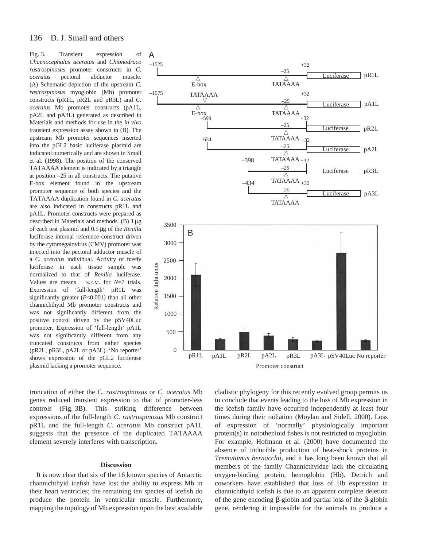Fig. 3. Transient expression of *Chaenocephalus aceratus* and *Chionodraco rastrospinosus* promoter constructs in *C. aceratus* pectoral abductor muscle. (A) Schematic depiction of the upstream *C. rastrospinosus* myoglobin (Mb) promoter constructs (pR1L, pR2L and pR3L) and *C. aceratus* Mb promoter constructs (pA1L, pA2L and pA3L) generated as described in Materials and methods for use in the *in vivo* transient expression assay shown in (B). The upstream Mb promoter sequences inserted into the pGL2 basic luciferase plasmid are indicated numerically and are shown in Small et al. (1998). The position of the conserved TATAAAA element is indicated by a triangle at position –25 in all constructs. The putative E-box element found in the upstream promoter sequence of both species and the TATAAAA duplication found in *C. aceratus* are also indicated in constructs pR1L and pA1L. Promoter constructs were prepared as described in Materials and methods. (B) 1µg of each test plasmid and 0.5µg of the *Renilla* luciferase internal reference construct driven by the cytomegalovirus (CMV) promoter was injected into the pectoral adductor muscle of a *C. aceratus* individual. Activity of firefly luciferase in each tissue sample was normalized to that of *Renilla* luciferase. Values are means  $\pm$  s.E.M. for  $N=7$  trials. Expression of 'full-length' pR1L was significantly greater (*P*<0.001) than all other channichthyid Mb promoter constructs and was not significantly different from the positive control driven by the pSV40Luc promoter. Expression of 'full-length' pA1L was not significantly different from any truncated constructs from either species (pR2L, pR3L, pA2L or pA3L). 'No reporter' shows expression of the pGL2 luciferase plasmid lacking a promoter sequence.



truncation of either the *C. rastrospinosus* or *C. aceratus* Mb genes reduced transient expression to that of promoter-less controls (Fig. 3B). This striking difference between expressions of the full-length *C. rastrospinosus* Mb construct pR1L and the full-length *C. aceratus* Mb construct pA1L suggests that the presence of the duplicated TATAAAA element severely interferes with transcription.

## **Discussion**

It is now clear that six of the 16 known species of Antarctic channichthyid icefish have lost the ability to express Mb in their heart ventricles; the remaining ten species of icefish do produce the protein in ventricular muscle. Furthermore, mapping the topology of Mb expression upon the best available

cladistic phylogeny for this recently evolved group permits us to conclude that events leading to the loss of Mb expression in the icefish family have occurred independently at least four times during their radiation (Moylan and Sidell, 2000). Loss of expression of 'normally' physiologically important protein(s) in notothenioid fishes is not restricted to myoglobin. For example, Hofmann et al. (2000) have documented the absence of inducible production of heat-shock proteins in *Trematomus bernacchii*, and it has long been known that all members of the family Channicthyidae lack the circulating oxygen-binding protein, hemoglobin (Hb). Detrich and coworkers have established that loss of Hb expression in channichthyid icefish is due to an apparent complete deletion of the gene encoding β-globin and partial loss of the β-globin gene, rendering it impossible for the animals to produce a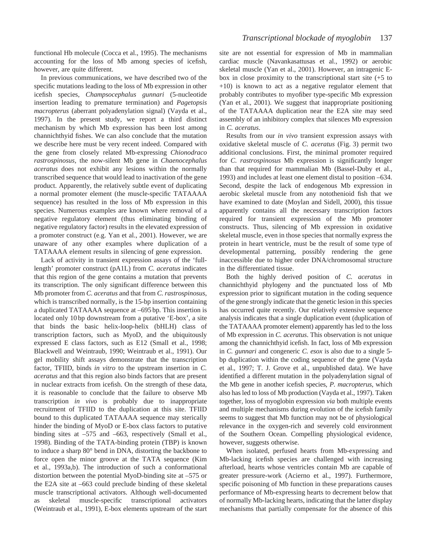functional Hb molecule (Cocca et al., 1995). The mechanisms accounting for the loss of Mb among species of icefish, however, are quite different.

In previous communications, we have described two of the specific mutations leading to the loss of Mb expression in other icefish species, *Champsocephalus gunnari* (5-nucleotide insertion leading to premature termination) and *Pagetopsis macropterus* (aberrant polyadenylation signal) (Vayda et al., 1997). In the present study, we report a third distinct mechanism by which Mb expression has been lost among channichthyid fishes. We can also conclude that the mutation we describe here must be very recent indeed. Compared with the gene from closely related Mb-expressing *Chionodraco rastrospinosus,* the now-silent Mb gene in *Chaenocephalus aceratus* does not exhibit any lesions within the normally transcribed sequence that would lead to inactivation of the gene product. Apparently, the relatively subtle event of duplicating a normal promoter element (the muscle-specific TATAAAA sequence) has resulted in the loss of Mb expression in this species. Numerous examples are known where removal of a negative regulatory element (thus eliminating binding of negative regulatory factor) results in the elevated expression of a promoter construct (e.g. Yan et al., 2001). However, we are unaware of any other examples where duplication of a TATAAAA element results in silencing of gene expression.

Lack of activity in transient expression assays of the 'fulllength' promoter construct (pA1L) from *C. aceratus* indicates that this region of the gene contains a mutation that prevents its transcription. The only significant difference between this Mb promoter from *C. aceratus* and that from *C. rastrospinosus*, which is transcribed normally, is the 15-bp insertion containing a duplicated TATAAAA sequence at –695 bp. This insertion is located only 10 bp downstream from a putative 'E-box', a site that binds the basic helix-loop-helix (bHLH) class of transcription factors, such as MyoD, and the ubiquitously expressed E class factors, such as E12 (Small et al., 1998; Blackwell and Weintraub, 1990; Weintraub et al., 1991). Our gel mobility shift assays demonstrate that the transcription factor, TFIID, binds *in vitro* to the upstream insertion in *C. aceratus* and that this region also binds factors that are present in nuclear extracts from icefish. On the strength of these data, it is reasonable to conclude that the failure to observe Mb transcription *in vivo* is probably due to inappropriate recruitment of TFIID to the duplication at this site. TFIID bound to this duplicated TATAAAA sequence may sterically hinder the binding of MyoD or E-box class factors to putative binding sites at  $-575$  and  $-663$ , respectively (Small et al., 1998). Binding of the TATA-binding protein (TBP) is known to induce a sharp 80° bend in DNA, distorting the backbone to force open the minor groove at the TATA sequence (Kim et al., 1993a,b). The introduction of such a conformational distortion between the potential MyoD-binding site at –575 or the E2A site at –663 could preclude binding of these skeletal muscle transcriptional activators. Although well-documented as skeletal muscle-specific transcriptional activators (Weintraub et al., 1991), E-box elements upstream of the start

site are not essential for expression of Mb in mammalian cardiac muscle (Navankasattusas et al., 1992) or aerobic skeletal muscle (Yan et al., 2001). However, an intragenic Ebox in close proximity to the transcriptional start site (+5 to +10) is known to act as a negative regulator element that probably contributes to myofiber type-specific Mb expression (Yan et al., 2001). We suggest that inappropriate positioning of the TATAAAA duplication near the E2A site may seed assembly of an inhibitory complex that silences Mb expression in *C. aceratus*.

Results from our *in vivo* transient expression assays with oxidative skeletal muscle of *C. aceratus* (Fig. 3) permit two additional conclusions. First, the minimal promoter required for *C. rastrospinosus* Mb expression is significantly longer than that required for mammalian Mb (Bassel-Duby et al., 1993) and includes at least one element distal to position –634. Second, despite the lack of endogenous Mb expression in aerobic skeletal muscle from any notothenioid fish that we have examined to date (Moylan and Sidell, 2000), this tissue apparently contains all the necessary transcription factors required for transient expression of the Mb promoter constructs. Thus, silencing of Mb expression in oxidative skeletal muscle, even in those species that normally express the protein in heart ventricle, must be the result of some type of developmental patterning, possibly rendering the gene inaccessible due to higher order DNA/chromosomal structure in the differentiated tissue.

Both the highly derived position of *C. aceratus* in channichthyid phylogeny and the punctuated loss of Mb expression prior to significant mutation in the coding sequence of the gene strongly indicate that the genetic lesion in this species has occurred quite recently. Our relatively extensive sequence analysis indicates that a single duplication event (duplication of the TATAAAA promoter element) apparently has led to the loss of Mb expression in *C. aceratus*. This observation is not unique among the channichthyid icefish. In fact, loss of Mb expression in *C. gunnari* and congeneric *C. esox* is also due to a single 5 bp duplication within the coding sequence of the gene (Vayda et al., 1997; T. J. Grove et al., unpublished data). We have identified a different mutation in the polyadenylation signal of the Mb gene in another icefish species, *P. macropterus*, which also has led to loss of Mb production (Vayda et al., 1997). Taken together, loss of myoglobin expression *via* both multiple events and multiple mechanisms during evolution of the icefish family seems to suggest that Mb function may not be of physiological relevance in the oxygen-rich and severely cold environment of the Southern Ocean. Compelling physiological evidence, however, suggests otherwise.

When isolated, perfused hearts from Mb-expressing and Mb-lacking icefish species are challenged with increasing afterload, hearts whose ventricles contain Mb are capable of greater pressure-work (Acierno et al., 1997). Furthermore, specific poisoning of Mb function in these preparations causes performance of Mb-expressing hearts to decrement below that of normally Mb-lacking hearts, indicating that the latter display mechanisms that partially compensate for the absence of this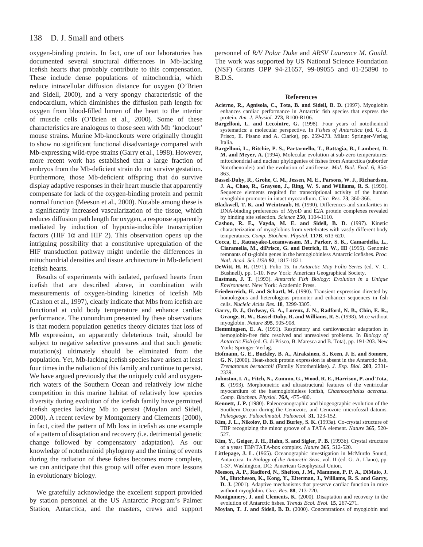oxygen-binding protein. In fact, one of our laboratories has documented several structural differences in Mb-lacking icefish hearts that probably contribute to this compensation. These include dense populations of mitochondria, which reduce intracellular diffusion distance for oxygen (O'Brien and Sidell, 2000), and a very spongy characteristic of the endocardium, which diminishes the diffusion path length for oxygen from blood-filled lumen of the heart to the interior of muscle cells (O'Brien et al., 2000). Some of these characteristics are analogous to those seen with Mb 'knockout' mouse strains. Murine Mb-knockouts were originally thought to show no significant functional disadvantage compared with Mb-expressing wild-type strains (Garry et al., 1998). However, more recent work has established that a large fraction of embryos from the Mb-deficient strain do not survive gestation. Furthermore, those Mb-deficient offspring that do survive display adaptive responses in their heart muscle that apparently compensate for lack of the oxygen-binding protein and permit normal function (Meeson et al., 2000). Notable among these is a significantly increased vascularization of the tissue, which reduces diffusion path length for oxygen, a response apparently mediated by induction of hypoxia-inducible transcription factors (HIF  $1\alpha$  and HIF 2). This observation opens up the intriguing possibility that a constitutive upregulation of the HIF transduction pathway might underlie the differences in mitochondrial densities and tissue architecture in Mb-deficient icefish hearts.

Results of experiments with isolated, perfused hearts from icefish that are described above, in combination with measurements of oxygen-binding kinetics of icefish Mb (Cashon et al., 1997), clearly indicate that Mbs from icefish are functional at cold body temperature and enhance cardiac performance. The conundrum presented by these observations is that modern population genetics theory dictates that loss of Mb expression, an apparently deleterious trait, should be subject to negative selective pressures and that such genetic mutation(s) ultimately should be eliminated from the population. Yet, Mb-lacking icefish species have arisen at least four times in the radiation of this family and continue to persist. We have argued previously that the uniquely cold and oxygenrich waters of the Southern Ocean and relatively low niche competition in this marine habitat of relatively low species diversity during evolution of the icefish family have permitted icefish species lacking Mb to persist (Moylan and Sidell, 2000). A recent review by Montgomery and Clements (2000), in fact, cited the pattern of Mb loss in icefish as one example of a pattern of disaptation and recovery *(*i.e. detrimental genetic change followed by compensatory adaptation). As our knowledge of notothenioid phylogeny and the timing of events during the radiation of these fishes becomes more complete, we can anticipate that this group will offer even more lessons in evolutionary biology.

We gratefully acknowledge the excellent support provided by station personnel at the US Antarctic Program's Palmer Station, Antarctica, and the masters, crews and support personnel of *R/V Polar Duke* and *ARSV Laurence M. Gould*. The work was supported by US National Science Foundation (NSF) Grants OPP 94-21657, 99-09055 and 01-25890 to B.D.S.

### **References**

- **Acierno, R., Agnisola, C., Tota, B. and Sidell, B. D.** (1997). Myoglobin enhances cardiac performance in Antarctic fish species that express the protein. *Am. J. Physiol.* **273**, R100-R106.
- Bargelloni, L. and Lecointre, G. (1998). Four years of notothenioid systematics: a molecular perspective. In *Fishes of Antarctica* (ed. G. di Prisco, E. Pisano and A. Clarke), pp. 259-273. Milan: Springer-Verlag Italia.
- **Bargelloni, L., Ritchie, P. S., Partarnello, T., Battagia, B., Lambert, D. M. and Meyer, A.** (1994). Molecular evolution at sub-zero temperatures: mitochondrial and nuclear phylogenies of fishes from Antarctica (suborder Notothenoidei) and the evolution of antifreeze. *Mol. Biol. Evol.* **6**, 854- 863.
- **Bassel-Duby, R., Grohe, C. M., Jessen, M. E., Parsons, W. J., Richardson, J. A., Chao, R., Grayson, J., Ring, W. S. and Williams, R. S.** (1993). Sequence elements required for transcriptional activity of the human myoglobin promoter in intact myocardium. *Circ. Res.* **73**, 360-366.
- **Blackwell, T. K. and Weintraub, H.** (1990). Differences and similarities in DNA-binding preferences of MyoD and E2A protein complexes revealed by binding site selection. *Science* **250**, 1104-1110.
- **Cashon, R. E., Vayda, M. E. and Sidell, B. D.** (1997). Kinetic characterization of myoglobins from vertebrates with vastly different body temperatures. *Comp. Biochem. Physiol.* **117B**, 613-620.
- **Cocca, E., Ratnayake-Lecamwasam, M., Parker, S. K., Camardella, L., Ciaramella, M., diPrisco, G. and Detrich, H. W., III** (1995). Genomic remnants of α-globin genes in the hemoglobinless Antarctic icefishes. *Proc. Natl. Acad. Sci. USA* **92**, 1817-1821.
- **DeWitt, H. H.** (1971). Folio 15. In *Antarctic Map Folio Series* (ed. V. C. Bushnell), pp. 1-10. New York: American Geographical Society.
- **Eastman, J. T.** (1993). *Antarctic Fish Biology: Evolution in a Unique Environment*. New York: Academic Press.
- Friedenreich, H. and Schartl, M. (1990). Transient expression directed by homologous and heterologous promoter and enhancer sequences in fish cells. *Nucleic Acids Res.* **18**, 3299-3305.
- **Garry, D. J., Ordway, G. A., Lorenz, J. N., Radford, N. B., Chin, E. R., Grange, R. W., Bassel-Duby, R. and Williams, R. S.** (1998). Mice without myoglobin. *Nature* **395**, 905-908.
- Hemmingsen, E. A. (1991). Respiratory and cardiovascular adaptation in hemoglobin-free fish: resolved and unresolved problems. In *Biology of Antarctic Fish* (ed. G. di Prisco, B. Maresca and B. Tota), pp. 191-203. New York: Springer-Verlag.
- **Hofmann, G. E., Buckley, B. A., Airaksinen, S., Keen, J. E. and Somero, G. N.** (2000). Heat-shock protein expression is absent in the Antarctic fish, *Trematomus bernacchii* (Family Nototheniidae). *J. Exp. Biol.* **203**, 2331- 2339.
- **Johnston, I. A., Fitch, N., Zummo, G., Wood, R. E., Harrison, P. and Tota, B.** (1993). Morphometric and ultrastructural features of the ventricular myocardium of the haemoglobinless icefish, *Chaenocephalus aceratus*. *Comp. Biochem. Physiol.* **76A**, 475-480.
- **Kennett, J. P.** (1980). Paleoceanographic and biogeographic evolution of the Southern Ocean during the Cenozoic, and Cenozoic microfossil datums. *Paleogeogr. Paleoclimatol. Paleoecol.* **31**, 123-152.
- **Kim, J. L., Nikolov, D. B. and Burley, S. K.** (1993a). Co-crystal structure of TBP recognizing the minor groove of a TATA element. *Nature* **365**, 520- 527.
- **Kim, Y., Geiger, J. H., Hahn, S. and Sigler, P. B.** (1993b). Crystal structure of a yeast TBP/TATA-box complex. *Nature* **365**, 512-520.
- **Littlepage, J. L.** (1965). Oceanographic investigation in McMurdo Sound, Antarctica. In *Biology of the Antarctic Seas,* vol. II (ed. G. A. Llano), pp. 1-37. Washington, DC: American Geophysical Union.
- **Meeson, A. P., Radford, N., Shelton, J. M., Mammen, P. P. A., DiMaio, J. M., Hutcheson, K., Kong, Y., Elterman, J., Williams, R. S. and Garry, D. J.** (2001). Adaptive mechanisms that preserve cardiac function in mice without myoglobin. *Circ. Res.* **88**, 713-720.
- **Montgomery, J. and Clements, K.** (2000). Disaptation and recovery in the evolution of Antarctic fishes. *Trends Ecol. Evol.* **15**, 267-271.
- **Moylan, T. J. and Sidell, B. D.** (2000). Concentrations of myoglobin and